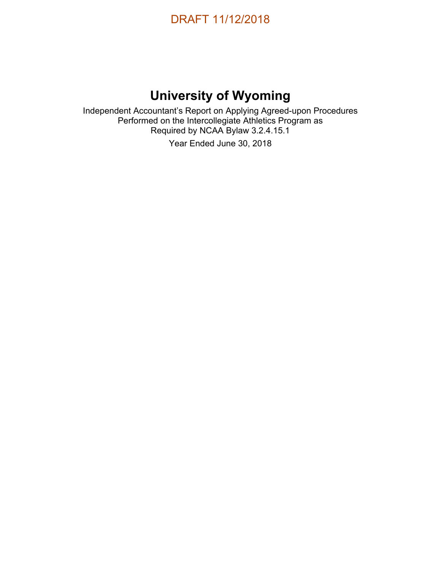

# **University of Wyoming**

Independent Accountant's Report on Applying Agreed-upon Procedures Performed on the Intercollegiate Athletics Program as Required by NCAA Bylaw 3.2.4.15.1 Year Ended June 30, 2018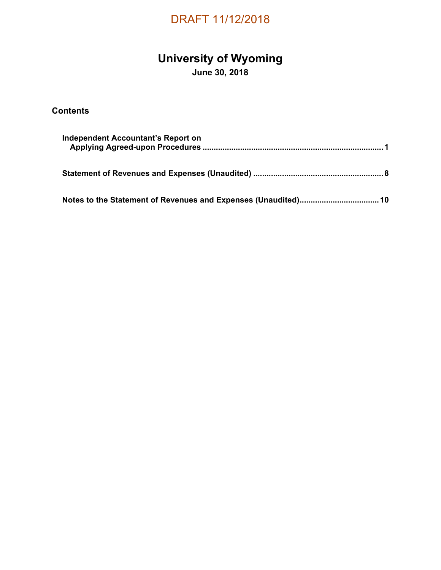### **University of Wyoming**

**June 30, 2018** 

### **Contents**

| Independent Accountant's Report on |  |
|------------------------------------|--|
|                                    |  |
|                                    |  |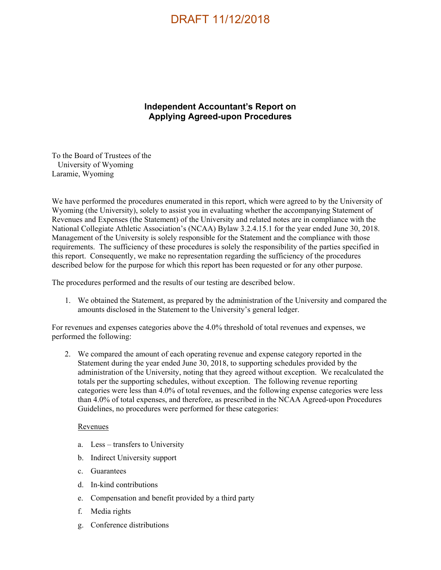### **Independent Accountant's Report on Applying Agreed-upon Procedures**

To the Board of Trustees of the University of Wyoming Laramie, Wyoming

We have performed the procedures enumerated in this report, which were agreed to by the University of Wyoming (the University), solely to assist you in evaluating whether the accompanying Statement of Revenues and Expenses (the Statement) of the University and related notes are in compliance with the National Collegiate Athletic Association's (NCAA) Bylaw 3.2.4.15.1 for the year ended June 30, 2018. Management of the University is solely responsible for the Statement and the compliance with those requirements. The sufficiency of these procedures is solely the responsibility of the parties specified in this report. Consequently, we make no representation regarding the sufficiency of the procedures described below for the purpose for which this report has been requested or for any other purpose.

The procedures performed and the results of our testing are described below.

1. We obtained the Statement, as prepared by the administration of the University and compared the amounts disclosed in the Statement to the University's general ledger.

For revenues and expenses categories above the 4.0% threshold of total revenues and expenses, we performed the following:

2. We compared the amount of each operating revenue and expense category reported in the Statement during the year ended June 30, 2018, to supporting schedules provided by the administration of the University, noting that they agreed without exception. We recalculated the totals per the supporting schedules, without exception. The following revenue reporting categories were less than 4.0% of total revenues, and the following expense categories were less than 4.0% of total expenses, and therefore, as prescribed in the NCAA Agreed-upon Procedures Guidelines, no procedures were performed for these categories:

#### Revenues

- a. Less transfers to University
- b. Indirect University support
- c. Guarantees
- d. In-kind contributions
- e. Compensation and benefit provided by a third party
- f. Media rights
- g. Conference distributions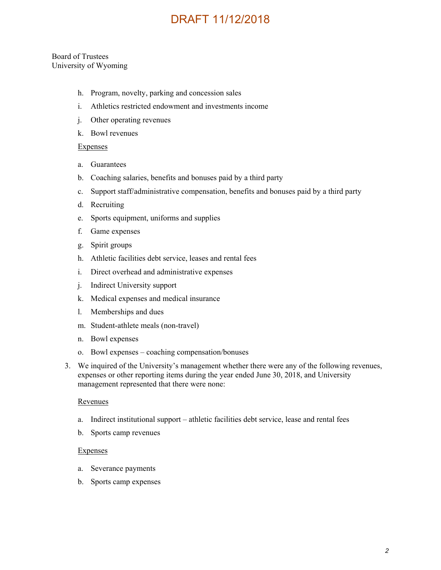#### Board of Trustees University of Wyoming

- h. Program, novelty, parking and concession sales
- i. Athletics restricted endowment and investments income
- j. Other operating revenues
- k. Bowl revenues

#### Expenses

- a. Guarantees
- b. Coaching salaries, benefits and bonuses paid by a third party
- c. Support staff/administrative compensation, benefits and bonuses paid by a third party
- d. Recruiting
- e. Sports equipment, uniforms and supplies
- f. Game expenses
- g. Spirit groups
- h. Athletic facilities debt service, leases and rental fees
- i. Direct overhead and administrative expenses
- j. Indirect University support
- k. Medical expenses and medical insurance
- l. Memberships and dues
- m. Student-athlete meals (non-travel)
- n. Bowl expenses
- o. Bowl expenses coaching compensation/bonuses
- 3. We inquired of the University's management whether there were any of the following revenues, expenses or other reporting items during the year ended June 30, 2018, and University management represented that there were none:

#### Revenues

- a. Indirect institutional support athletic facilities debt service, lease and rental fees
- b. Sports camp revenues

#### Expenses

- a. Severance payments
- b. Sports camp expenses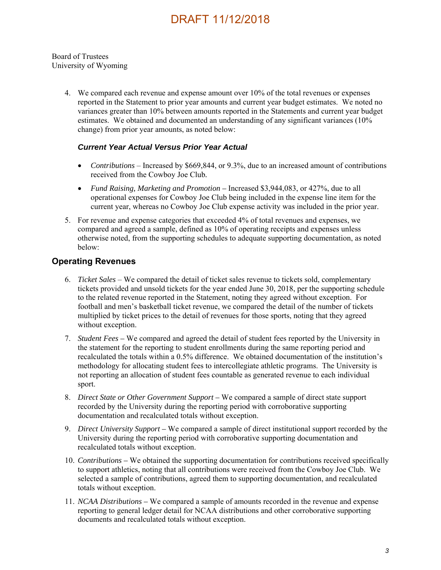#### Board of Trustees University of Wyoming

4. We compared each revenue and expense amount over 10% of the total revenues or expenses reported in the Statement to prior year amounts and current year budget estimates. We noted no variances greater than 10% between amounts reported in the Statements and current year budget estimates. We obtained and documented an understanding of any significant variances (10% change) from prior year amounts, as noted below:

#### *Current Year Actual Versus Prior Year Actual*

- *Contributions*  Increased by \$669,844, or 9.3%, due to an increased amount of contributions received from the Cowboy Joe Club*.*
- *Fund Raising, Marketing and Promotion* Increased \$3,944,083, or 427%, due to all operational expenses for Cowboy Joe Club being included in the expense line item for the current year, whereas no Cowboy Joe Club expense activity was included in the prior year.
- 5. For revenue and expense categories that exceeded 4% of total revenues and expenses, we compared and agreed a sample, defined as 10% of operating receipts and expenses unless otherwise noted, from the supporting schedules to adequate supporting documentation, as noted below:

### **Operating Revenues**

- 6. *Ticket Sales*  We compared the detail of ticket sales revenue to tickets sold, complementary tickets provided and unsold tickets for the year ended June 30, 2018, per the supporting schedule to the related revenue reported in the Statement, noting they agreed without exception. For football and men's basketball ticket revenue, we compared the detail of the number of tickets multiplied by ticket prices to the detail of revenues for those sports, noting that they agreed without exception.
- 7. *Student Fees* We compared and agreed the detail of student fees reported by the University in the statement for the reporting to student enrollments during the same reporting period and recalculated the totals within a 0.5% difference. We obtained documentation of the institution's methodology for allocating student fees to intercollegiate athletic programs. The University is not reporting an allocation of student fees countable as generated revenue to each individual sport.
- 8. *Direct State or Other Government Support* We compared a sample of direct state support recorded by the University during the reporting period with corroborative supporting documentation and recalculated totals without exception.
- 9. *Direct University Support* We compared a sample of direct institutional support recorded by the University during the reporting period with corroborative supporting documentation and recalculated totals without exception.
- 10. *Contributions –* We obtained the supporting documentation for contributions received specifically to support athletics, noting that all contributions were received from the Cowboy Joe Club. We selected a sample of contributions, agreed them to supporting documentation, and recalculated totals without exception.
- 11. *NCAA Distributions* We compared a sample of amounts recorded in the revenue and expense reporting to general ledger detail for NCAA distributions and other corroborative supporting documents and recalculated totals without exception.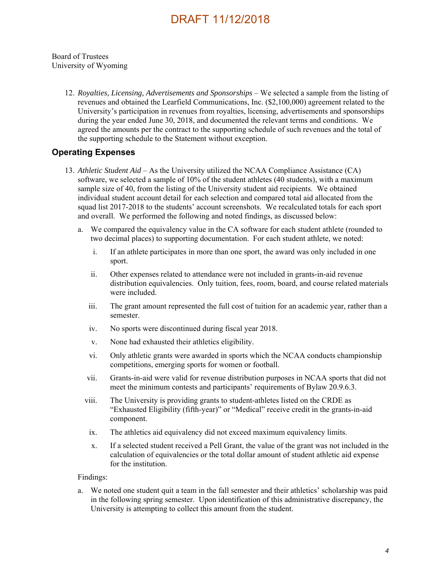#### Board of Trustees University of Wyoming

12. *Royalties, Licensing, Advertisements and Sponsorships* – We selected a sample from the listing of revenues and obtained the Learfield Communications, Inc. (\$2,100,000) agreement related to the University's participation in revenues from royalties, licensing, advertisements and sponsorships during the year ended June 30, 2018, and documented the relevant terms and conditions. We agreed the amounts per the contract to the supporting schedule of such revenues and the total of the supporting schedule to the Statement without exception.

### **Operating Expenses**

- 13. *Athletic Student Aid* As the University utilized the NCAA Compliance Assistance (CA) software, we selected a sample of 10% of the student athletes (40 students), with a maximum sample size of 40, from the listing of the University student aid recipients. We obtained individual student account detail for each selection and compared total aid allocated from the squad list 2017-2018 to the students' account screenshots. We recalculated totals for each sport and overall. We performed the following and noted findings, as discussed below:
	- a. We compared the equivalency value in the CA software for each student athlete (rounded to two decimal places) to supporting documentation. For each student athlete, we noted:
		- i. If an athlete participates in more than one sport, the award was only included in one sport.
		- ii. Other expenses related to attendance were not included in grants-in-aid revenue distribution equivalencies. Only tuition, fees, room, board, and course related materials were included.
		- iii. The grant amount represented the full cost of tuition for an academic year, rather than a semester.
		- iv. No sports were discontinued during fiscal year 2018.
		- v. None had exhausted their athletics eligibility.
		- vi. Only athletic grants were awarded in sports which the NCAA conducts championship competitions, emerging sports for women or football.
		- vii. Grants-in-aid were valid for revenue distribution purposes in NCAA sports that did not meet the minimum contests and participants' requirements of Bylaw 20.9.6.3.
		- viii. The University is providing grants to student-athletes listed on the CRDE as "Exhausted Eligibility (fifth-year)" or "Medical" receive credit in the grants-in-aid component.
		- ix. The athletics aid equivalency did not exceed maximum equivalency limits.
		- x. If a selected student received a Pell Grant, the value of the grant was not included in the calculation of equivalencies or the total dollar amount of student athletic aid expense for the institution.

#### Findings:

a. We noted one student quit a team in the fall semester and their athletics' scholarship was paid in the following spring semester. Upon identification of this administrative discrepancy, the University is attempting to collect this amount from the student.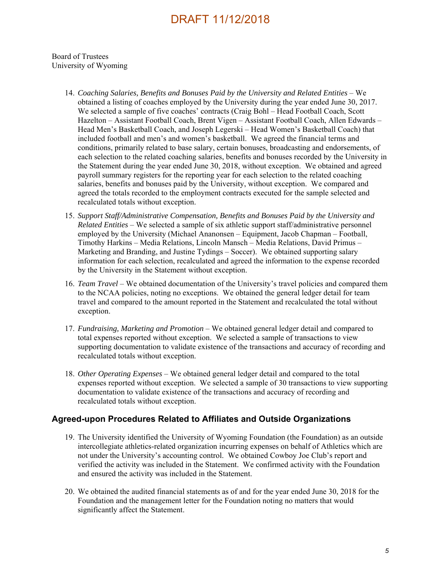Board of Trustees University of Wyoming

- 14. *Coaching Salaries, Benefits and Bonuses Paid by the University and Related Entities* We obtained a listing of coaches employed by the University during the year ended June 30, 2017. We selected a sample of five coaches' contracts (Craig Bohl – Head Football Coach, Scott Hazelton – Assistant Football Coach, Brent Vigen – Assistant Football Coach, Allen Edwards – Head Men's Basketball Coach, and Joseph Legerski – Head Women's Basketball Coach) that included football and men's and women's basketball. We agreed the financial terms and conditions, primarily related to base salary, certain bonuses, broadcasting and endorsements, of each selection to the related coaching salaries, benefits and bonuses recorded by the University in the Statement during the year ended June 30, 2018, without exception. We obtained and agreed payroll summary registers for the reporting year for each selection to the related coaching salaries, benefits and bonuses paid by the University, without exception. We compared and agreed the totals recorded to the employment contracts executed for the sample selected and recalculated totals without exception.
- 15. *Support Staff/Administrative Compensation, Benefits and Bonuses Paid by the University and Related Entities* – We selected a sample of six athletic support staff/administrative personnel employed by the University (Michael Ananonsen – Equipment, Jacob Chapman – Football, Timothy Harkins – Media Relations, Lincoln Mansch – Media Relations, David Primus – Marketing and Branding, and Justine Tydings – Soccer). We obtained supporting salary information for each selection, recalculated and agreed the information to the expense recorded by the University in the Statement without exception.
- 16. *Team Travel*  We obtained documentation of the University's travel policies and compared them to the NCAA policies, noting no exceptions. We obtained the general ledger detail for team travel and compared to the amount reported in the Statement and recalculated the total without exception.
- 17. *Fundraising, Marketing and Promotion* We obtained general ledger detail and compared to total expenses reported without exception. We selected a sample of transactions to view supporting documentation to validate existence of the transactions and accuracy of recording and recalculated totals without exception.
- 18. *Other Operating Expenses*  We obtained general ledger detail and compared to the total expenses reported without exception. We selected a sample of 30 transactions to view supporting documentation to validate existence of the transactions and accuracy of recording and recalculated totals without exception.

### **Agreed-upon Procedures Related to Affiliates and Outside Organizations**

- 19. The University identified the University of Wyoming Foundation (the Foundation) as an outside intercollegiate athletics-related organization incurring expenses on behalf of Athletics which are not under the University's accounting control. We obtained Cowboy Joe Club's report and verified the activity was included in the Statement. We confirmed activity with the Foundation and ensured the activity was included in the Statement.
- 20. We obtained the audited financial statements as of and for the year ended June 30, 2018 for the Foundation and the management letter for the Foundation noting no matters that would significantly affect the Statement.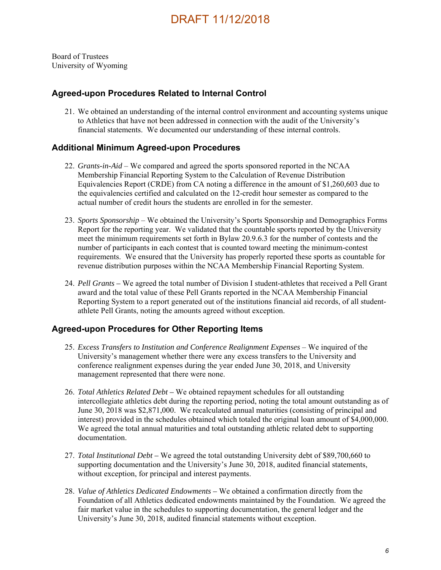Board of Trustees University of Wyoming

#### **Agreed-upon Procedures Related to Internal Control**

21. We obtained an understanding of the internal control environment and accounting systems unique to Athletics that have not been addressed in connection with the audit of the University's financial statements. We documented our understanding of these internal controls.

#### **Additional Minimum Agreed-upon Procedures**

- 22. *Grants-in-Aid* We compared and agreed the sports sponsored reported in the NCAA Membership Financial Reporting System to the Calculation of Revenue Distribution Equivalencies Report (CRDE) from CA noting a difference in the amount of \$1,260,603 due to the equivalencies certified and calculated on the 12-credit hour semester as compared to the actual number of credit hours the students are enrolled in for the semester.
- 23. *Sports Sponsorship*  We obtained the University's Sports Sponsorship and Demographics Forms Report for the reporting year. We validated that the countable sports reported by the University meet the minimum requirements set forth in Bylaw 20.9.6.3 for the number of contests and the number of participants in each contest that is counted toward meeting the minimum-contest requirements. We ensured that the University has properly reported these sports as countable for revenue distribution purposes within the NCAA Membership Financial Reporting System.
- 24. *Pell Grants* We agreed the total number of Division I student-athletes that received a Pell Grant award and the total value of these Pell Grants reported in the NCAA Membership Financial Reporting System to a report generated out of the institutions financial aid records, of all studentathlete Pell Grants, noting the amounts agreed without exception.

### **Agreed-upon Procedures for Other Reporting Items**

- 25. *Excess Transfers to Institution and Conference Realignment Expenses* We inquired of the University's management whether there were any excess transfers to the University and conference realignment expenses during the year ended June 30, 2018, and University management represented that there were none.
- 26. *Total Athletics Related Debt* We obtained repayment schedules for all outstanding intercollegiate athletics debt during the reporting period, noting the total amount outstanding as of June 30, 2018 was \$2,871,000. We recalculated annual maturities (consisting of principal and interest) provided in the schedules obtained which totaled the original loan amount of \$4,000,000. We agreed the total annual maturities and total outstanding athletic related debt to supporting documentation.
- 27. *Total Institutional Debt* We agreed the total outstanding University debt of \$89,700,660 to supporting documentation and the University's June 30, 2018, audited financial statements, without exception, for principal and interest payments.
- 28. *Value of Athletics Dedicated Endowments* We obtained a confirmation directly from the Foundation of all Athletics dedicated endowments maintained by the Foundation. We agreed the fair market value in the schedules to supporting documentation, the general ledger and the University's June 30, 2018, audited financial statements without exception.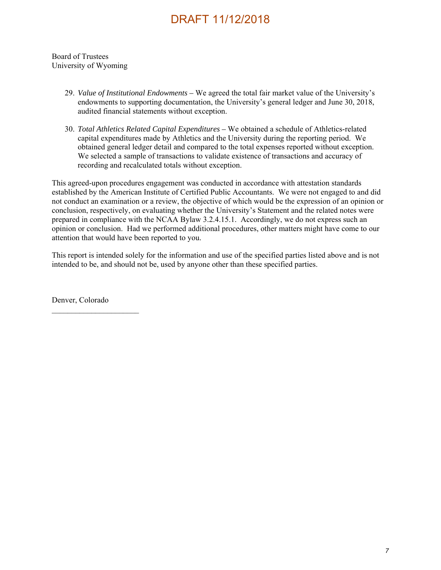Board of Trustees University of Wyoming

- 29. *Value of Institutional Endowments* We agreed the total fair market value of the University's endowments to supporting documentation, the University's general ledger and June 30, 2018, audited financial statements without exception.
- 30. *Total Athletics Related Capital Expenditures* We obtained a schedule of Athletics-related capital expenditures made by Athletics and the University during the reporting period. We obtained general ledger detail and compared to the total expenses reported without exception. We selected a sample of transactions to validate existence of transactions and accuracy of recording and recalculated totals without exception.

This agreed-upon procedures engagement was conducted in accordance with attestation standards established by the American Institute of Certified Public Accountants. We were not engaged to and did not conduct an examination or a review, the objective of which would be the expression of an opinion or conclusion, respectively, on evaluating whether the University's Statement and the related notes were prepared in compliance with the NCAA Bylaw 3.2.4.15.1. Accordingly, we do not express such an opinion or conclusion. Had we performed additional procedures, other matters might have come to our attention that would have been reported to you.

This report is intended solely for the information and use of the specified parties listed above and is not intended to be, and should not be, used by anyone other than these specified parties.

Denver, Colorado

 $\mathcal{L}_\text{max}$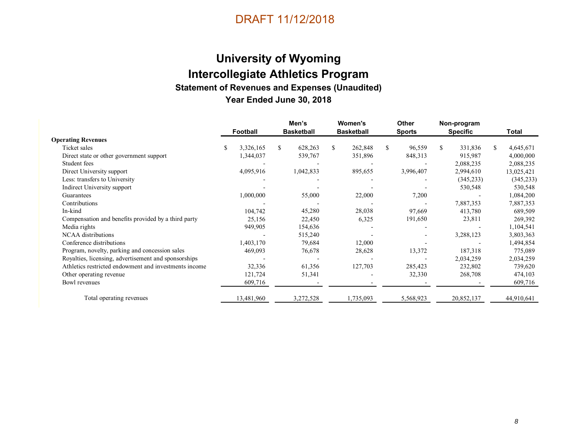# **University of Wyoming Intercollegiate Athletics Program Statement of Revenues and Expenses (Unaudited) Year Ended June 30, 2018**

|                                                       |    | <b>Football</b> |     | Men's<br><b>Basketball</b> | Women's<br><b>Basketball</b> | Other<br><b>Sports</b> |    | Non-program<br><b>Specific</b> |     | Total      |
|-------------------------------------------------------|----|-----------------|-----|----------------------------|------------------------------|------------------------|----|--------------------------------|-----|------------|
| <b>Operating Revenues</b>                             |    |                 |     |                            |                              |                        |    |                                |     |            |
| Ticket sales                                          | S. | 3,326,165       | \$. | 628,263                    | \$<br>262,848                | \$<br>96,559           | S. | 331,836                        | \$. | 4,645,671  |
| Direct state or other government support              |    | 1,344,037       |     | 539,767                    | 351,896                      | 848,313                |    | 915,987                        |     | 4,000,000  |
| Student fees                                          |    |                 |     |                            |                              |                        |    | 2,088,235                      |     | 2,088,235  |
| Direct University support                             |    | 4,095,916       |     | 1,042,833                  | 895,655                      | 3,996,407              |    | 2,994,610                      |     | 13,025,421 |
| Less: transfers to University                         |    |                 |     |                            |                              |                        |    | (345, 233)                     |     | (345, 233) |
| Indirect University support                           |    |                 |     |                            |                              |                        |    | 530,548                        |     | 530,548    |
| Guarantees                                            |    | 1,000,000       |     | 55,000                     | 22,000                       | 7,200                  |    |                                |     | 1,084,200  |
| Contributions                                         |    |                 |     |                            |                              |                        |    | 7,887,353                      |     | 7,887,353  |
| In-kind                                               |    | 104,742         |     | 45,280                     | 28,038                       | 97,669                 |    | 413,780                        |     | 689,509    |
| Compensation and benefits provided by a third party   |    | 25,156          |     | 22,450                     | 6,325                        | 191,650                |    | 23,811                         |     | 269,392    |
| Media rights                                          |    | 949,905         |     | 154,636                    |                              |                        |    |                                |     | 1,104,541  |
| <b>NCAA</b> distributions                             |    |                 |     | 515,240                    |                              |                        |    | 3,288,123                      |     | 3,803,363  |
| Conference distributions                              |    | 1,403,170       |     | 79,684                     | 12,000                       |                        |    |                                |     | 1,494,854  |
| Program, novelty, parking and concession sales        |    | 469,093         |     | 76,678                     | 28,628                       | 13,372                 |    | 187,318                        |     | 775,089    |
| Royalties, licensing, advertisement and sponsorships  |    |                 |     |                            |                              |                        |    | 2,034,259                      |     | 2,034,259  |
| Athletics restricted endowment and investments income |    | 32,336          |     | 61,356                     | 127,703                      | 285,423                |    | 232,802                        |     | 739,620    |
| Other operating revenue                               |    | 121,724         |     | 51,341                     |                              | 32,330                 |    | 268,708                        |     | 474,103    |
| Bowl revenues                                         |    | 609,716         |     |                            |                              |                        |    |                                |     | 609,716    |
| Total operating revenues                              |    | 13,481,960      |     | 3,272,528                  | 1,735,093                    | 5,568,923              |    | 20,852,137                     |     | 44,910,641 |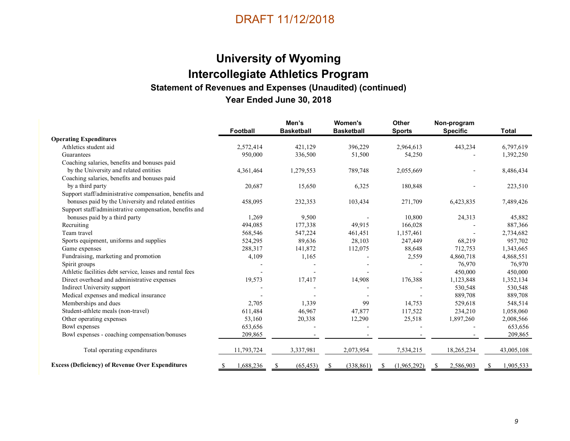# **University of Wyoming Intercollegiate Athletics Program Statement of Revenues and Expenses (Unaudited) (continued) Year Ended June 30, 2018**

|                                                          | Football        | Men's<br><b>Basketball</b> | <b>Women's</b><br><b>Basketball</b> | <b>Other</b><br><b>Sports</b> | Non-program<br><b>Specific</b> | <b>Total</b>   |
|----------------------------------------------------------|-----------------|----------------------------|-------------------------------------|-------------------------------|--------------------------------|----------------|
| <b>Operating Expenditures</b>                            |                 |                            |                                     |                               |                                |                |
| Athletics student aid                                    | 2,572,414       | 421,129                    | 396,229                             | 2,964,613                     | 443,234                        | 6,797,619      |
| Guarantees                                               | 950,000         | 336,500                    | 51,500                              | 54,250                        |                                | 1,392,250      |
| Coaching salaries, benefits and bonuses paid             |                 |                            |                                     |                               |                                |                |
| by the University and related entities                   | 4,361,464       | 1,279,553                  | 789,748                             | 2,055,669                     |                                | 8,486,434      |
| Coaching salaries, benefits and bonuses paid             |                 |                            |                                     |                               |                                |                |
| by a third party                                         | 20,687          | 15,650                     | 6,325                               | 180,848                       |                                | 223,510        |
| Support staff/administrative compensation, benefits and  |                 |                            |                                     |                               |                                |                |
| bonuses paid by the University and related entities      | 458,095         | 232,353                    | 103,434                             | 271,709                       | 6,423,835                      | 7,489,426      |
| Support staff/administrative compensation, benefits and  |                 |                            |                                     |                               |                                |                |
| bonuses paid by a third party                            | 1,269           | 9,500                      |                                     | 10,800                        | 24,313                         | 45,882         |
| Recruiting                                               | 494,085         | 177,338                    | 49,915                              | 166,028                       |                                | 887,366        |
| Team travel                                              | 568,546         | 547,224                    | 461,451                             | 1,157,461                     |                                | 2,734,682      |
| Sports equipment, uniforms and supplies                  | 524,295         | 89,636                     | 28,103                              | 247,449                       | 68,219                         | 957,702        |
| Game expenses                                            | 288,317         | 141,872                    | 112,075                             | 88,648                        | 712,753                        | 1,343,665      |
| Fundraising, marketing and promotion                     | 4,109           | 1,165                      |                                     | 2,559                         | 4,860,718                      | 4,868,551      |
| Spirit groups                                            |                 |                            |                                     |                               | 76,970                         | 76,970         |
| Athletic facilities debt service, leases and rental fees |                 |                            |                                     |                               | 450,000                        | 450,000        |
| Direct overhead and administrative expenses              | 19,573          | 17,417                     | 14,908                              | 176,388                       | 1,123,848                      | 1,352,134      |
| Indirect University support                              |                 |                            |                                     |                               | 530,548                        | 530,548        |
| Medical expenses and medical insurance                   |                 |                            |                                     |                               | 889,708                        | 889,708        |
| Memberships and dues                                     | 2,705           | 1,339                      | 99                                  | 14,753                        | 529,618                        | 548,514        |
| Student-athlete meals (non-travel)                       | 611,484         | 46,967                     | 47,877                              | 117,522                       | 234,210                        | 1,058,060      |
| Other operating expenses                                 | 53,160          | 20,338                     | 12,290                              | 25,518                        | 1,897,260                      | 2,008,566      |
| Bowl expenses                                            | 653,656         |                            |                                     |                               |                                | 653,656        |
| Bowl expenses - coaching compensation/bonuses            | 209,865         |                            |                                     |                               |                                | 209,865        |
| Total operating expenditures                             | 11,793,724      | 3,337,981                  | 2,073,954                           | 7,534,215                     | 18,265,234                     | 43,005,108     |
| <b>Excess (Deficiency) of Revenue Over Expenditures</b>  | 1,688,236<br>\$ | (65, 453)<br>S             | (338, 861)<br>-S                    | (1,965,292)<br>-S             | 2,586,903<br>-S                | 1,905,533<br>S |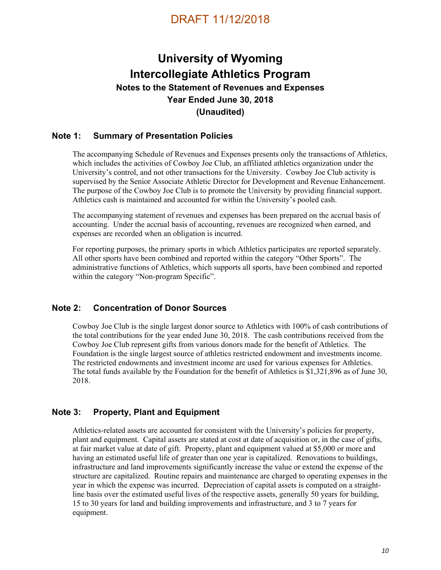## **University of Wyoming Intercollegiate Athletics Program Notes to the Statement of Revenues and Expenses Year Ended June 30, 2018 (Unaudited)**

### **Note 1: Summary of Presentation Policies**

The accompanying Schedule of Revenues and Expenses presents only the transactions of Athletics, which includes the activities of Cowboy Joe Club, an affiliated athletics organization under the University's control, and not other transactions for the University. Cowboy Joe Club activity is supervised by the Senior Associate Athletic Director for Development and Revenue Enhancement. The purpose of the Cowboy Joe Club is to promote the University by providing financial support. Athletics cash is maintained and accounted for within the University's pooled cash.

The accompanying statement of revenues and expenses has been prepared on the accrual basis of accounting. Under the accrual basis of accounting, revenues are recognized when earned, and expenses are recorded when an obligation is incurred.

For reporting purposes, the primary sports in which Athletics participates are reported separately. All other sports have been combined and reported within the category "Other Sports". The administrative functions of Athletics, which supports all sports, have been combined and reported within the category "Non-program Specific".

### **Note 2: Concentration of Donor Sources**

Cowboy Joe Club is the single largest donor source to Athletics with 100% of cash contributions of the total contributions for the year ended June 30, 2018. The cash contributions received from the Cowboy Joe Club represent gifts from various donors made for the benefit of Athletics. The Foundation is the single largest source of athletics restricted endowment and investments income. The restricted endowments and investment income are used for various expenses for Athletics. The total funds available by the Foundation for the benefit of Athletics is \$1,321,896 as of June 30, 2018.

### **Note 3: Property, Plant and Equipment**

Athletics-related assets are accounted for consistent with the University's policies for property, plant and equipment. Capital assets are stated at cost at date of acquisition or, in the case of gifts, at fair market value at date of gift. Property, plant and equipment valued at \$5,000 or more and having an estimated useful life of greater than one year is capitalized. Renovations to buildings, infrastructure and land improvements significantly increase the value or extend the expense of the structure are capitalized. Routine repairs and maintenance are charged to operating expenses in the year in which the expense was incurred. Depreciation of capital assets is computed on a straightline basis over the estimated useful lives of the respective assets, generally 50 years for building, 15 to 30 years for land and building improvements and infrastructure, and 3 to 7 years for equipment.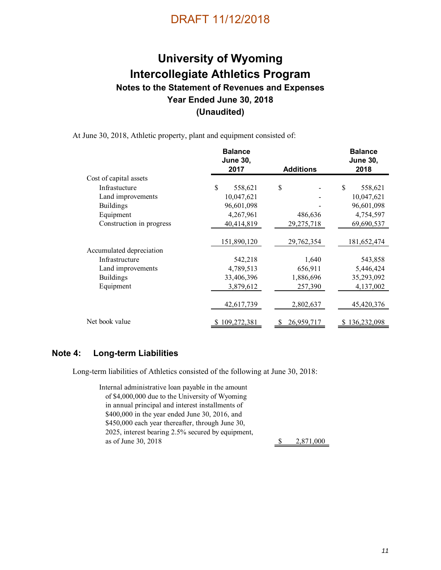# **University of Wyoming Intercollegiate Athletics Program Notes to the Statement of Revenues and Expenses Year Ended June 30, 2018 (Unaudited)**

At June 30, 2018, Athletic property, plant and equipment consisted of:

|                          | <b>Balance</b><br><b>June 30,</b> |                  | <b>Balance</b><br><b>June 30,</b> |
|--------------------------|-----------------------------------|------------------|-----------------------------------|
|                          | 2017                              | <b>Additions</b> | 2018                              |
| Cost of capital assets   |                                   |                  |                                   |
| Infrastucture            | \$<br>558,621                     | \$               | \$<br>558,621                     |
| Land improvements        | 10,047,621                        |                  | 10,047,621                        |
| <b>Buildings</b>         | 96,601,098                        |                  | 96,601,098                        |
| Equipment                | 4,267,961                         | 486,636          | 4,754,597                         |
| Construction in progress | 40,414,819                        | 29,275,718       | 69,690,537                        |
|                          | 151,890,120                       | 29,762,354       | 181,652,474                       |
| Accumulated depreciation |                                   |                  |                                   |
| Infrastructure           | 542,218                           | 1,640            | 543,858                           |
| Land improvements        | 4,789,513                         | 656,911          | 5,446,424                         |
| <b>Buildings</b>         | 33,406,396                        | 1,886,696        | 35,293,092                        |
| Equipment                | 3,879,612                         | 257,390          | 4,137,002                         |
|                          | 42,617,739                        | 2,802,637        | 45,420,376                        |
| Net book value           | 109,272,381                       | 26,959,717       | 136,232,098                       |

#### **Note 4: Long-term Liabilities**

Long-term liabilities of Athletics consisted of the following at June 30, 2018:

Internal administrative loan payable in the amount of \$4,000,000 due to the University of Wyoming in annual principal and interest installments of \$400,000 in the year ended June 30, 2016, and \$450,000 each year thereafter, through June 30, 2025, interest bearing 2.5% secured by equipment, as of June 30, 2018 2,871,000